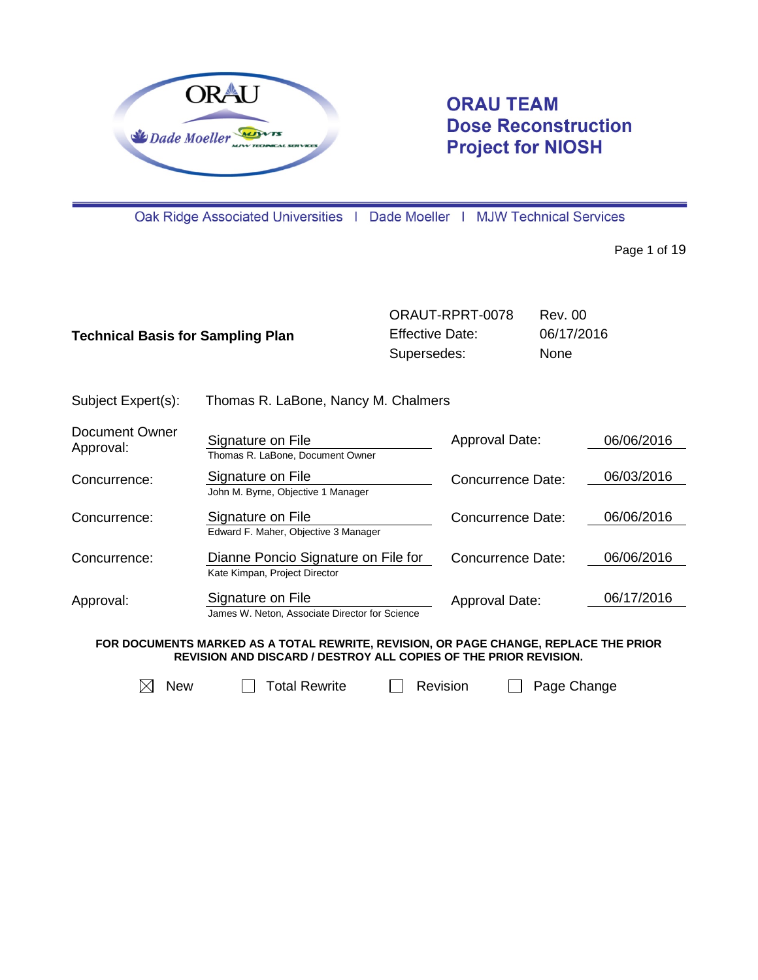

# **ORAU TEAM Dose Reconstruction Project for NIOSH**

Oak Ridge Associated Universities | Dade Moeller | MJW Technical Services

Page 1 of 19

| <b>Technical Basis for Sampling Plan</b> |                                                                      | <b>Effective Date:</b><br>Supersedes: | ORAUT-RPRT-0078          | <b>Rev. 00</b><br>06/17/2016<br>None |            |
|------------------------------------------|----------------------------------------------------------------------|---------------------------------------|--------------------------|--------------------------------------|------------|
| Subject Expert(s):                       | Thomas R. LaBone, Nancy M. Chalmers                                  |                                       |                          |                                      |            |
| Document Owner<br>Approval:              | Signature on File<br>Thomas R. LaBone, Document Owner                |                                       | Approval Date:           |                                      | 06/06/2016 |
| Concurrence:                             | Signature on File<br>John M. Byrne, Objective 1 Manager              |                                       | Concurrence Date:        |                                      | 06/03/2016 |
| Concurrence:                             | Signature on File<br>Edward F. Maher, Objective 3 Manager            |                                       | Concurrence Date:        |                                      | 06/06/2016 |
| Concurrence:                             | Dianne Poncio Signature on File for<br>Kate Kimpan, Project Director |                                       | <b>Concurrence Date:</b> |                                      | 06/06/2016 |
| Approval:                                | Signature on File<br>James W. Neton, Associate Director for Science  |                                       | Approval Date:           |                                      | 06/17/2016 |

**FOR DOCUMENTS MARKED AS A TOTAL REWRITE, REVISION, OR PAGE CHANGE, REPLACE THE PRIOR REVISION AND DISCARD / DESTROY ALL COPIES OF THE PRIOR REVISION.**

 $\boxtimes$  New  $\Box$  Total Rewrite  $\Box$  Revision  $\Box$  Page Change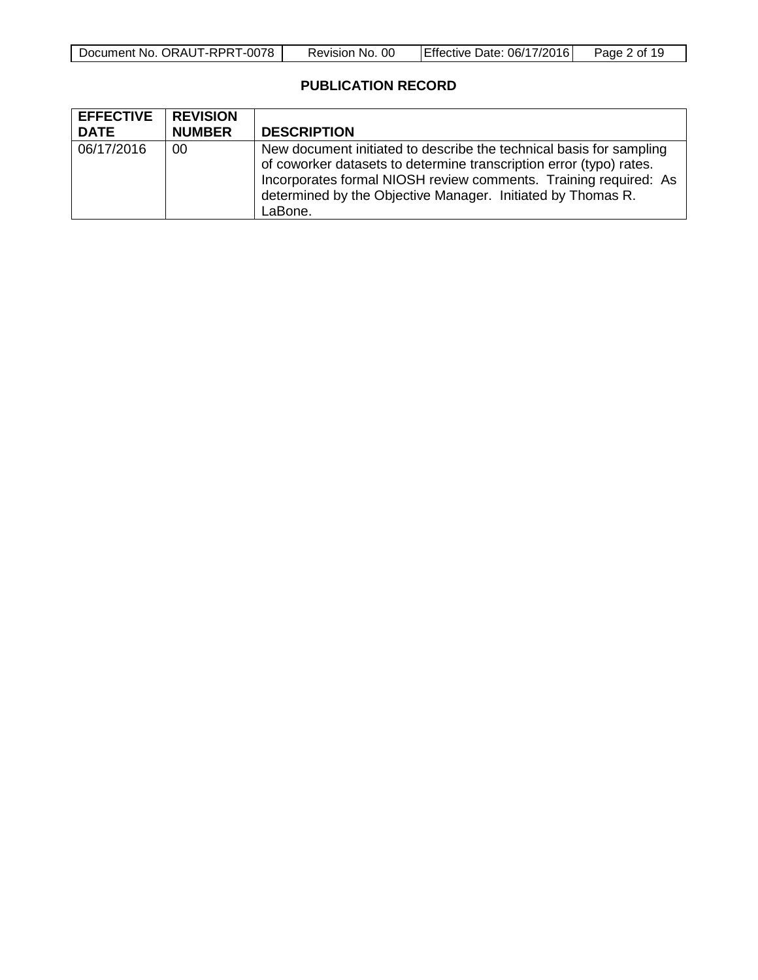| Document No. ORAUT-RPRT-0078 | Revision No. 00 | <b>Effective Date: 06/17/2016</b> | Page 2 of 19 |
|------------------------------|-----------------|-----------------------------------|--------------|
|                              |                 |                                   |              |

# **PUBLICATION RECORD**

| <b>EFFECTIVE</b><br><b>DATE</b> | <b>REVISION</b><br><b>NUMBER</b> | <b>DESCRIPTION</b>                                                                                                                                                                                                                                                                       |
|---------------------------------|----------------------------------|------------------------------------------------------------------------------------------------------------------------------------------------------------------------------------------------------------------------------------------------------------------------------------------|
| 06/17/2016                      | 00                               | New document initiated to describe the technical basis for sampling<br>of coworker datasets to determine transcription error (typo) rates.<br>Incorporates formal NIOSH review comments. Training required: As<br>determined by the Objective Manager. Initiated by Thomas R.<br>LaBone. |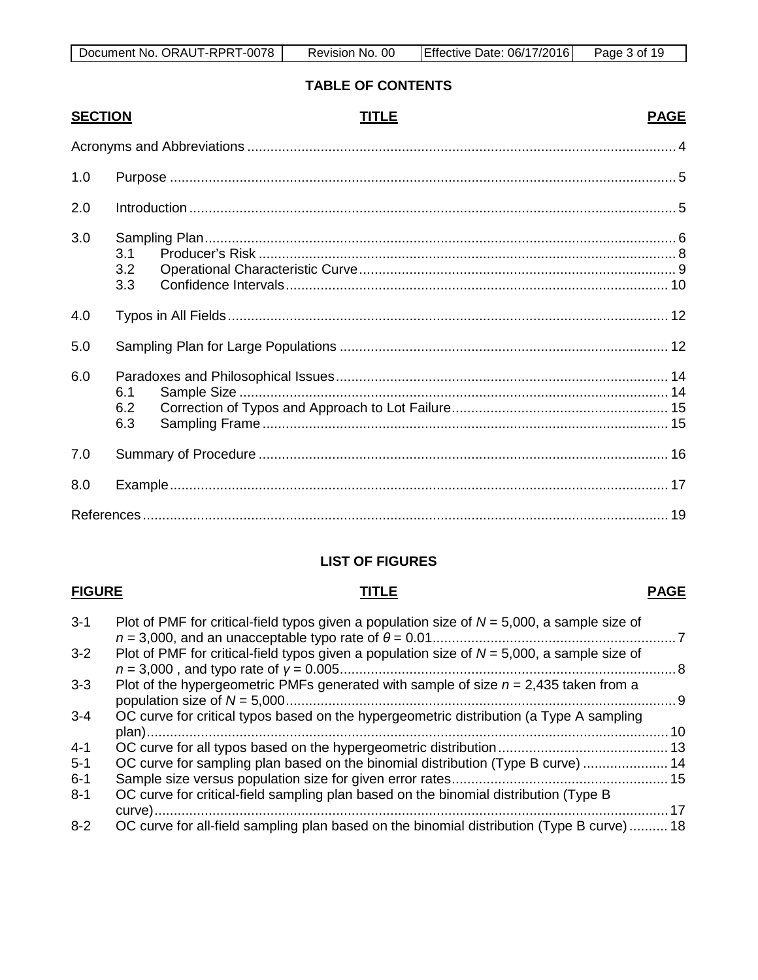# **TABLE OF CONTENTS**

| <b>SECTION</b> |                   | TITLE | <b>PAGE</b> |
|----------------|-------------------|-------|-------------|
|                |                   |       |             |
| 1.0            |                   |       |             |
| 2.0            |                   |       |             |
| 3.0            | 3.1<br>3.2<br>3.3 |       |             |
| 4.0            |                   |       |             |
| 5.0            |                   |       |             |
| 6.0            | 6.1<br>6.2<br>6.3 |       |             |
| 7.0            |                   |       |             |
| 8.0            |                   |       |             |
|                |                   |       |             |

# **LIST OF FIGURES**

#### **FIGURE TITLE PAGE**

| . 10                                                                                       |
|--------------------------------------------------------------------------------------------|
|                                                                                            |
| OC curve for sampling plan based on the binomial distribution (Type B curve)  14           |
|                                                                                            |
|                                                                                            |
|                                                                                            |
| OC curve for all-field sampling plan based on the binomial distribution (Type B curve)  18 |
|                                                                                            |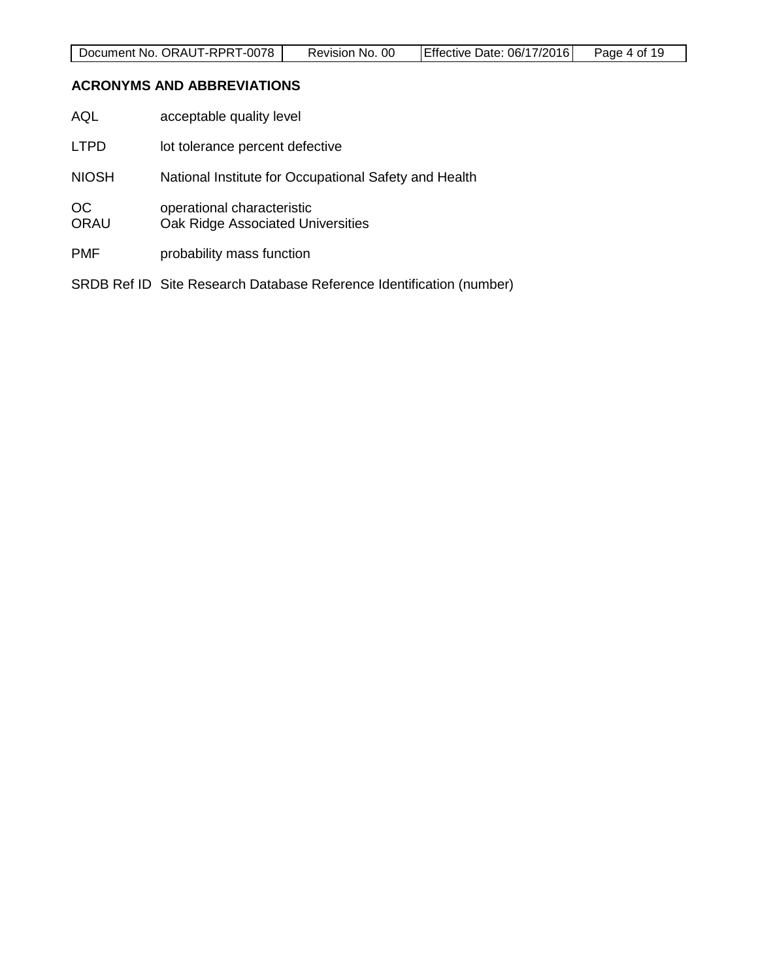#### <span id="page-3-0"></span>**ACRONYMS AND ABBREVIATIONS**

| AQL                      | acceptable quality level                                             |
|--------------------------|----------------------------------------------------------------------|
| <b>LTPD</b>              | lot tolerance percent defective                                      |
| <b>NIOSH</b>             | National Institute for Occupational Safety and Health                |
| <b>OC</b><br><b>ORAU</b> | operational characteristic<br>Oak Ridge Associated Universities      |
| <b>PMF</b>               | probability mass function                                            |
|                          | SRDB Ref ID Site Research Database Reference Identification (number) |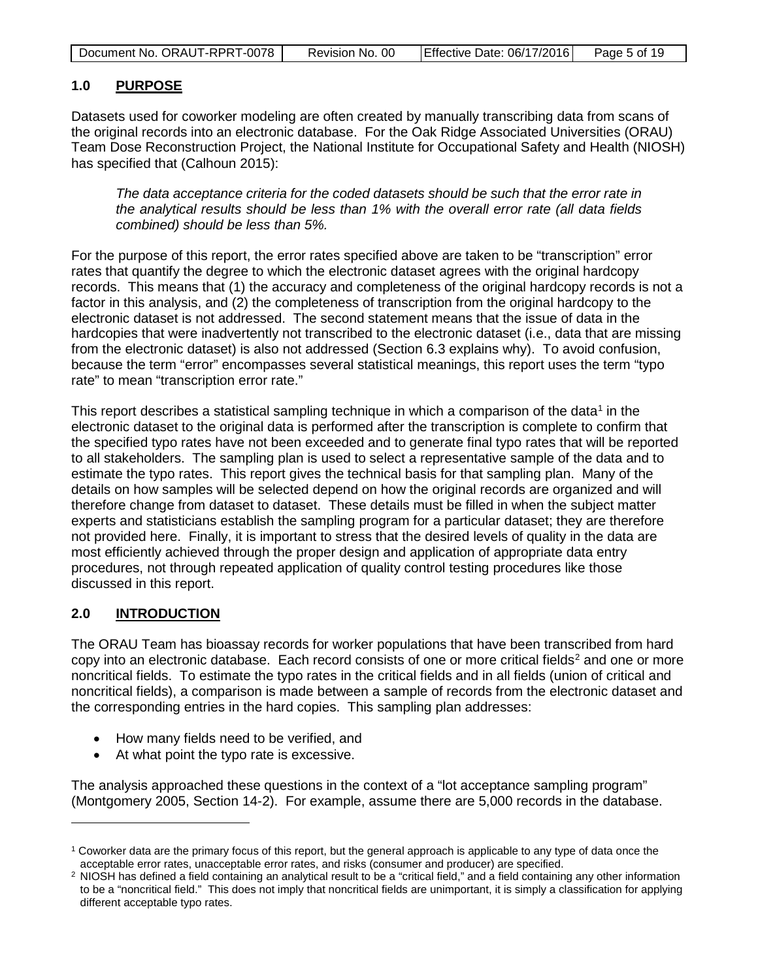| Document No. ORAUT-RPRT-0078 | Revision No. 00 | Effective Date: 06/17/2016 | Page 5 of 19 |
|------------------------------|-----------------|----------------------------|--------------|
|------------------------------|-----------------|----------------------------|--------------|

# <span id="page-4-0"></span>**1.0 PURPOSE**

Datasets used for coworker modeling are often created by manually transcribing data from scans of the original records into an electronic database. For the Oak Ridge Associated Universities (ORAU) Team Dose Reconstruction Project, the National Institute for Occupational Safety and Health (NIOSH) has specified that (Calhoun 2015):

*The data acceptance criteria for the coded datasets should be such that the error rate in the analytical results should be less than 1% with the overall error rate (all data fields combined) should be less than 5%.*

For the purpose of this report, the error rates specified above are taken to be "transcription" error rates that quantify the degree to which the electronic dataset agrees with the original hardcopy records. This means that (1) the accuracy and completeness of the original hardcopy records is not a factor in this analysis, and (2) the completeness of transcription from the original hardcopy to the electronic dataset is not addressed. The second statement means that the issue of data in the hardcopies that were inadvertently not transcribed to the electronic dataset (i.e., data that are missing from the electronic dataset) is also not addressed (Section 6.3 explains why). To avoid confusion, because the term "error" encompasses several statistical meanings, this report uses the term "typo rate" to mean "transcription error rate."

This report describes a statistical sampling technique in which a comparison of the data<sup>[1](#page-4-2)</sup> in the electronic dataset to the original data is performed after the transcription is complete to confirm that the specified typo rates have not been exceeded and to generate final typo rates that will be reported to all stakeholders. The sampling plan is used to select a representative sample of the data and to estimate the typo rates. This report gives the technical basis for that sampling plan. Many of the details on how samples will be selected depend on how the original records are organized and will therefore change from dataset to dataset. These details must be filled in when the subject matter experts and statisticians establish the sampling program for a particular dataset; they are therefore not provided here. Finally, it is important to stress that the desired levels of quality in the data are most efficiently achieved through the proper design and application of appropriate data entry procedures, not through repeated application of quality control testing procedures like those discussed in this report.

# <span id="page-4-1"></span>**2.0 INTRODUCTION**

 $\overline{a}$ 

The ORAU Team has bioassay records for worker populations that have been transcribed from hard copy into an electronic database. Each record consists of one or more critical fields<sup>[2](#page-4-3)</sup> and one or more noncritical fields. To estimate the typo rates in the critical fields and in all fields (union of critical and noncritical fields), a comparison is made between a sample of records from the electronic dataset and the corresponding entries in the hard copies. This sampling plan addresses:

- How many fields need to be verified, and
- At what point the typo rate is excessive.

The analysis approached these questions in the context of a "lot acceptance sampling program" (Montgomery 2005, Section 14-2). For example, assume there are 5,000 records in the database.

<span id="page-4-2"></span><sup>1</sup> Coworker data are the primary focus of this report, but the general approach is applicable to any type of data once the acceptable error rates, unacceptable error rates, and risks (consumer and producer) are specified.

<span id="page-4-3"></span><sup>&</sup>lt;sup>2</sup> NIOSH has defined a field containing an analytical result to be a "critical field," and a field containing any other information to be a "noncritical field." This does not imply that noncritical fields are unimportant, it is simply a classification for applying different acceptable typo rates.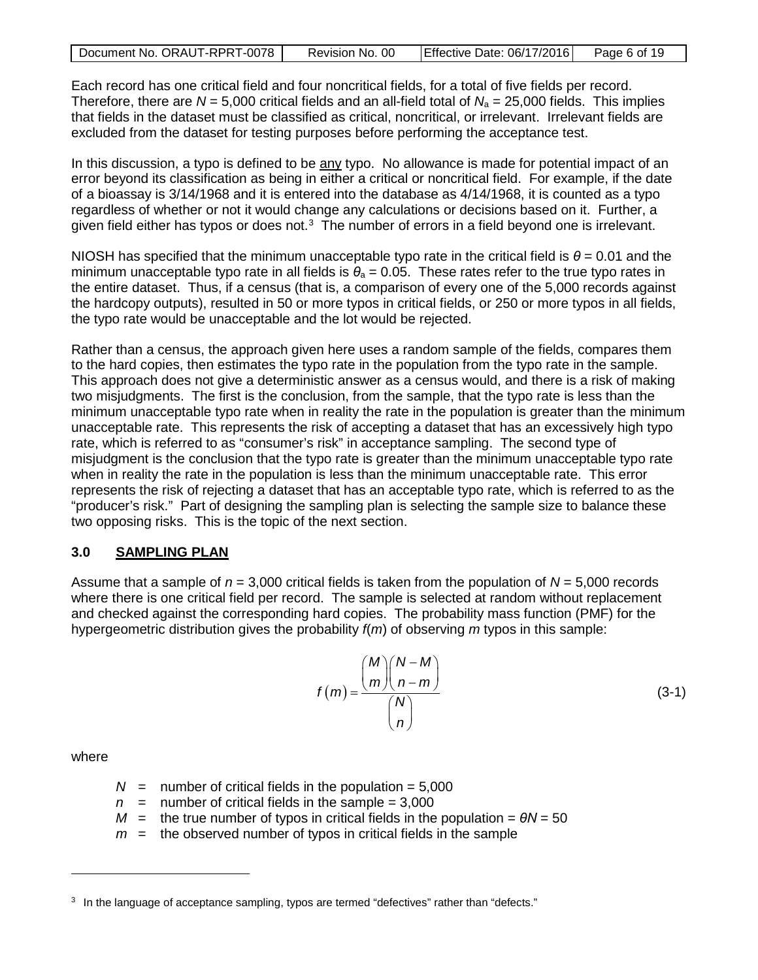Each record has one critical field and four noncritical fields, for a total of five fields per record. Therefore, there are  $N = 5,000$  critical fields and an all-field total of  $N_a = 25,000$  fields. This implies that fields in the dataset must be classified as critical, noncritical, or irrelevant. Irrelevant fields are excluded from the dataset for testing purposes before performing the acceptance test.

In this discussion, a typo is defined to be any typo. No allowance is made for potential impact of an error beyond its classification as being in either a critical or noncritical field. For example, if the date of a bioassay is 3/14/1968 and it is entered into the database as 4/14/1968, it is counted as a typo regardless of whether or not it would change any calculations or decisions based on it. Further, a given field either has typos or does not.<sup>[3](#page-5-1)</sup> The number of errors in a field beyond one is irrelevant.

NIOSH has specified that the minimum unacceptable typo rate in the critical field is  $\theta$  = 0.01 and the minimum unacceptable typo rate in all fields is  $\theta_a = 0.05$ . These rates refer to the true typo rates in the entire dataset. Thus, if a census (that is, a comparison of every one of the 5,000 records against the hardcopy outputs), resulted in 50 or more typos in critical fields, or 250 or more typos in all fields, the typo rate would be unacceptable and the lot would be rejected.

Rather than a census, the approach given here uses a random sample of the fields, compares them to the hard copies, then estimates the typo rate in the population from the typo rate in the sample. This approach does not give a deterministic answer as a census would, and there is a risk of making two misjudgments. The first is the conclusion, from the sample, that the typo rate is less than the minimum unacceptable typo rate when in reality the rate in the population is greater than the minimum unacceptable rate. This represents the risk of accepting a dataset that has an excessively high typo rate, which is referred to as "consumer's risk" in acceptance sampling. The second type of misjudgment is the conclusion that the typo rate is greater than the minimum unacceptable typo rate when in reality the rate in the population is less than the minimum unacceptable rate. This error represents the risk of rejecting a dataset that has an acceptable typo rate, which is referred to as the "producer's risk." Part of designing the sampling plan is selecting the sample size to balance these two opposing risks. This is the topic of the next section.

# <span id="page-5-0"></span>**3.0 SAMPLING PLAN**

Assume that a sample of *n* = 3,000 critical fields is taken from the population of *N* = 5,000 records where there is one critical field per record. The sample is selected at random without replacement and checked against the corresponding hard copies. The probability mass function (PMF) for the hypergeometric distribution gives the probability *f*(*m*) of observing *m* typos in this sample:

$$
f(m) = \frac{\binom{M}{m}\binom{N-M}{n-m}}{\binom{N}{n}}
$$
(3-1)

where

- $N =$  number of critical fields in the population =  $5,000$
- $n =$  number of critical fields in the sample = 3,000
- $M =$  the true number of typos in critical fields in the population =  $\theta N = 50$
- $m =$  the observed number of typos in critical fields in the sample

<span id="page-5-1"></span><sup>&</sup>lt;sup>3</sup> In the language of acceptance sampling, typos are termed "defectives" rather than "defects."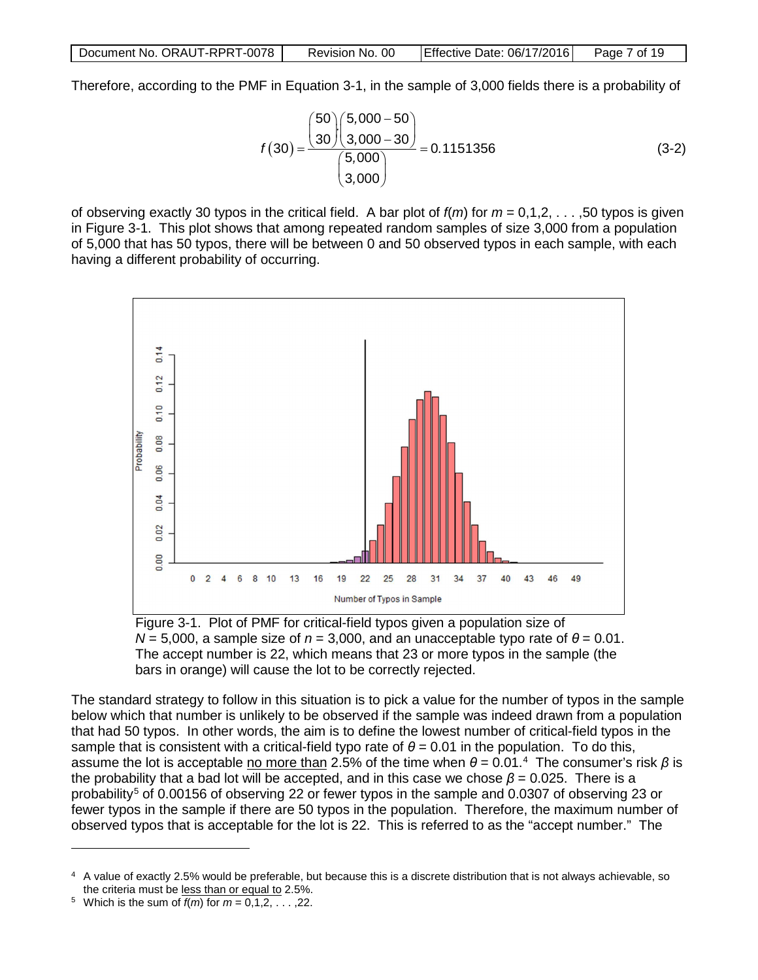Therefore, according to the PMF in Equation 3-1, in the sample of 3,000 fields there is a probability of

$$
f(30) = \frac{\binom{50}{30}\binom{5,000 - 50}{3,000 - 30}}{\binom{5,000}{3,000}} = 0.1151356
$$
 (3-2)

of observing exactly 30 typos in the critical field. A bar plot of  $f(m)$  for  $m = 0,1,2,...,50$  typos is given in Figure 3-1. This plot shows that among repeated random samples of size 3,000 from a population of 5,000 that has 50 typos, there will be between 0 and 50 observed typos in each sample, with each having a different probability of occurring.



<span id="page-6-0"></span>Figure 3-1. Plot of PMF for critical-field typos given a population size of *N* = 5,000, a sample size of *n* = 3,000, and an unacceptable typo rate of *θ* = 0.01. The accept number is 22, which means that 23 or more typos in the sample (the bars in orange) will cause the lot to be correctly rejected.

The standard strategy to follow in this situation is to pick a value for the number of typos in the sample below which that number is unlikely to be observed if the sample was indeed drawn from a population that had 50 typos. In other words, the aim is to define the lowest number of critical-field typos in the sample that is consistent with a critical-field typo rate of  $\theta$  = 0.01 in the population. To do this, assume the lot is acceptable <u>no more than</u> 2.5% of the time when  $\theta$  = 0.01.<sup>[4](#page-6-1)</sup> The consumer's risk *β* is the probability that a bad lot will be accepted, and in this case we chose  $\beta$  = 0.025. There is a probability<sup>[5](#page-6-2)</sup> of 0.00156 of observing 22 or fewer typos in the sample and 0.0307 of observing 23 or fewer typos in the sample if there are 50 typos in the population. Therefore, the maximum number of observed typos that is acceptable for the lot is 22. This is referred to as the "accept number." The

<span id="page-6-1"></span><sup>4</sup> A value of exactly 2.5% would be preferable, but because this is a discrete distribution that is not always achievable, so the criteria must be less than or equal to 2.5%.

<span id="page-6-2"></span><sup>&</sup>lt;sup>5</sup> Which is the sum of  $f(m)$  for  $m = 0, 1, 2, \ldots, 22$ .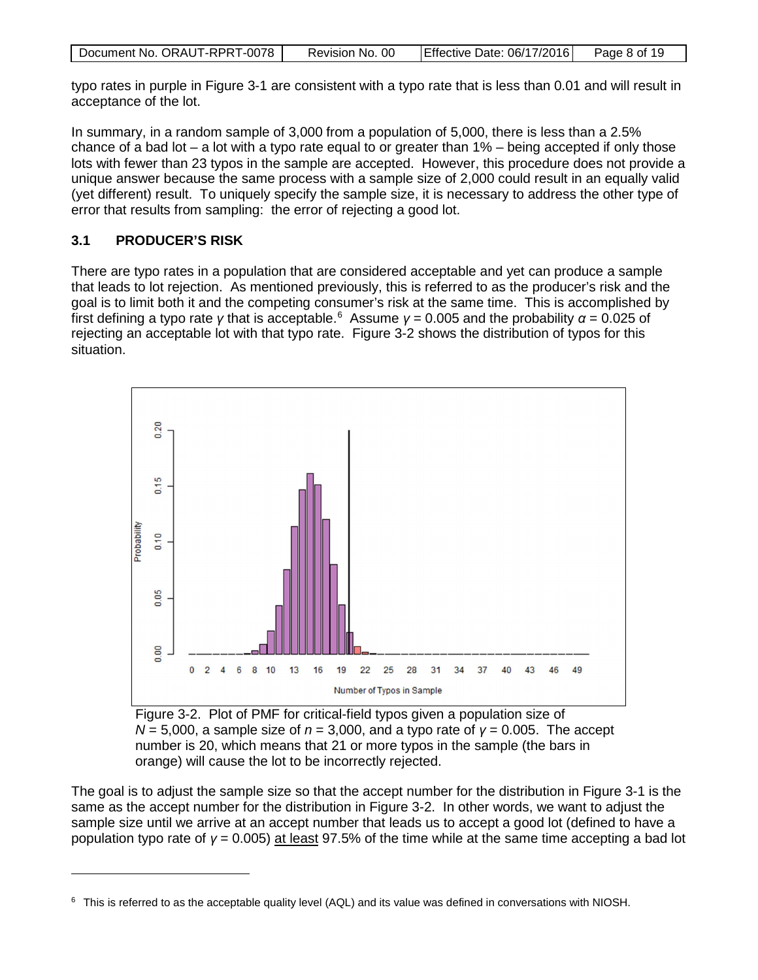| Document No. ORAUT-RPRT-0078 | Revision No. 00 | Effective Date: 06/17/2016 | Page 8 of 19 |
|------------------------------|-----------------|----------------------------|--------------|
|                              |                 |                            |              |

typo rates in purple in Figure 3-1 are consistent with a typo rate that is less than 0.01 and will result in acceptance of the lot.

In summary, in a random sample of 3,000 from a population of 5,000, there is less than a 2.5% chance of a bad lot – a lot with a typo rate equal to or greater than 1% – being accepted if only those lots with fewer than 23 typos in the sample are accepted. However, this procedure does not provide a unique answer because the same process with a sample size of 2,000 could result in an equally valid (yet different) result. To uniquely specify the sample size, it is necessary to address the other type of error that results from sampling: the error of rejecting a good lot.

# <span id="page-7-0"></span>**3.1 PRODUCER'S RISK**

 $\overline{a}$ 

There are typo rates in a population that are considered acceptable and yet can produce a sample that leads to lot rejection. As mentioned previously, this is referred to as the producer's risk and the goal is to limit both it and the competing consumer's risk at the same time. This is accomplished by first defining a typo rate *γ* that is acceptable. [6](#page-7-2) Assume *γ* = 0.005 and the probability *α* = 0.025 of rejecting an acceptable lot with that typo rate. Figure 3-2 shows the distribution of typos for this situation.



<span id="page-7-1"></span>Figure 3-2. Plot of PMF for critical-field typos given a population size of *N* = 5,000, a sample size of *n* = 3,000, and a typo rate of *γ* = 0.005. The accept number is 20, which means that 21 or more typos in the sample (the bars in orange) will cause the lot to be incorrectly rejected.

The goal is to adjust the sample size so that the accept number for the distribution in Figure 3-1 is the same as the accept number for the distribution in Figure 3-2. In other words, we want to adjust the sample size until we arrive at an accept number that leads us to accept a good lot (defined to have a population typo rate of *γ* = 0.005) at least 97.5% of the time while at the same time accepting a bad lot

<span id="page-7-2"></span> $6$  This is referred to as the acceptable quality level (AQL) and its value was defined in conversations with NIOSH.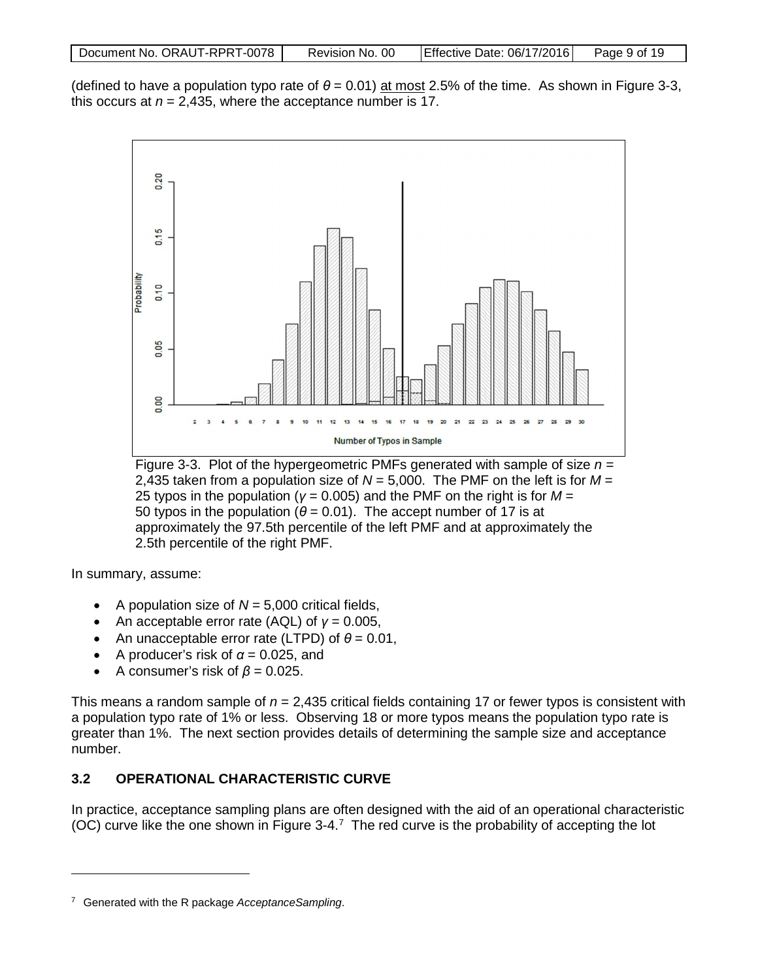| Document No. ORAUT-RPRT-0078 | Revision No. 00 | Effective Date: 06/17/2016 | Page 9 of 19 |
|------------------------------|-----------------|----------------------------|--------------|
|                              |                 |                            |              |

(defined to have a population typo rate of  $\theta$  = 0.01) at most 2.5% of the time. As shown in Figure 3-3, this occurs at  $n = 2,435$ , where the acceptance number is 17.



<span id="page-8-1"></span>Figure 3-3. Plot of the hypergeometric PMFs generated with sample of size *n* = 2,435 taken from a population size of *N* = 5,000. The PMF on the left is for *M* = 25 typos in the population (*γ* = 0.005) and the PMF on the right is for *M* = 50 typos in the population  $(\theta = 0.01)$ . The accept number of 17 is at approximately the 97.5th percentile of the left PMF and at approximately the 2.5th percentile of the right PMF.

In summary, assume:

 $\overline{a}$ 

- A population size of  $N = 5,000$  critical fields,
- An acceptable error rate (AQL) of *γ* = 0.005,
- An unacceptable error rate (LTPD) of  $\theta = 0.01$ ,
- A producer's risk of  $\alpha$  = 0.025, and
- A consumer's risk of  $\beta = 0.025$ .

This means a random sample of *n* = 2,435 critical fields containing 17 or fewer typos is consistent with a population typo rate of 1% or less. Observing 18 or more typos means the population typo rate is greater than 1%. The next section provides details of determining the sample size and acceptance number.

# <span id="page-8-0"></span>**3.2 OPERATIONAL CHARACTERISTIC CURVE**

In practice, acceptance sampling plans are often designed with the aid of an operational characteristic  $(OC)$  curve like the one shown in Figure 3-4.<sup>[7](#page-8-2)</sup> The red curve is the probability of accepting the lot

<span id="page-8-2"></span><sup>7</sup> Generated with the R package *AcceptanceSampling*.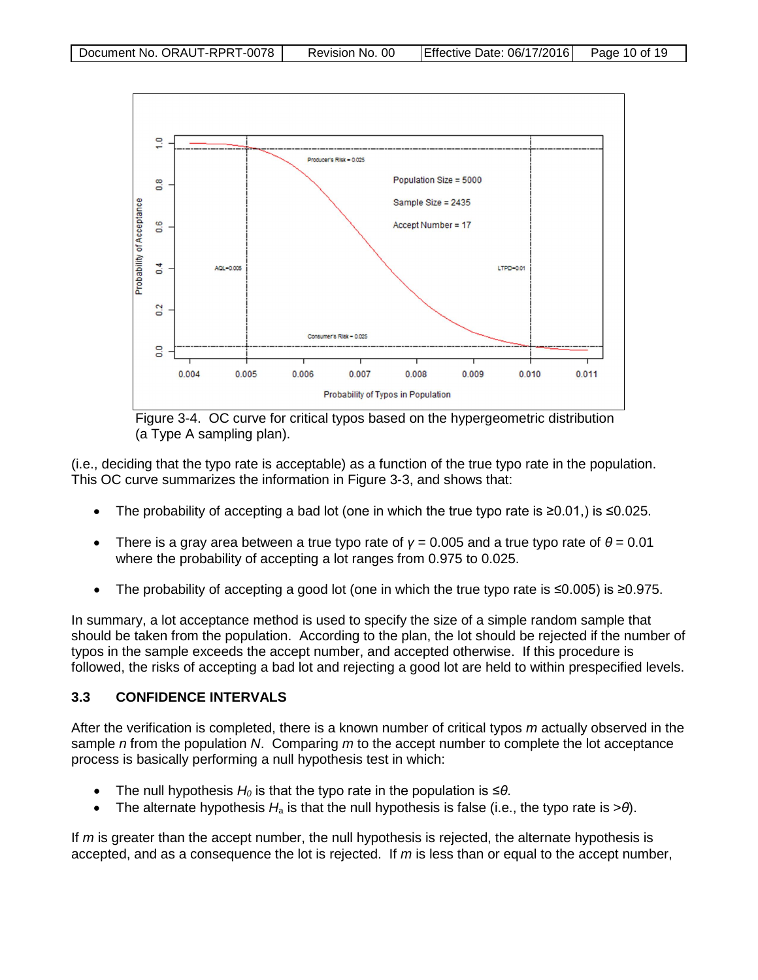

<span id="page-9-1"></span>Figure 3-4. OC curve for critical typos based on the hypergeometric distribution (a Type A sampling plan).

(i.e., deciding that the typo rate is acceptable) as a function of the true typo rate in the population. This OC curve summarizes the information in Figure 3-3, and shows that:

- The probability of accepting a bad lot (one in which the true typo rate is ≥0.01,) is ≤0.025.
- There is a gray area between a true typo rate of  $\gamma = 0.005$  and a true typo rate of  $\theta = 0.01$ where the probability of accepting a lot ranges from 0.975 to 0.025.
- The probability of accepting a good lot (one in which the true typo rate is ≤0.005) is ≥0.975.

In summary, a lot acceptance method is used to specify the size of a simple random sample that should be taken from the population. According to the plan, the lot should be rejected if the number of typos in the sample exceeds the accept number, and accepted otherwise. If this procedure is followed, the risks of accepting a bad lot and rejecting a good lot are held to within prespecified levels.

# <span id="page-9-0"></span>**3.3 CONFIDENCE INTERVALS**

After the verification is completed, there is a known number of critical typos *m* actually observed in the sample *n* from the population *N*. Comparing *m* to the accept number to complete the lot acceptance process is basically performing a null hypothesis test in which:

- The null hypothesis  $H_0$  is that the typo rate in the population is  $\leq \theta$ .
- The alternate hypothesis *H*<sup>a</sup> is that the null hypothesis is false (i.e., the typo rate is >*θ*).

If *m* is greater than the accept number, the null hypothesis is rejected, the alternate hypothesis is accepted, and as a consequence the lot is rejected. If *m* is less than or equal to the accept number,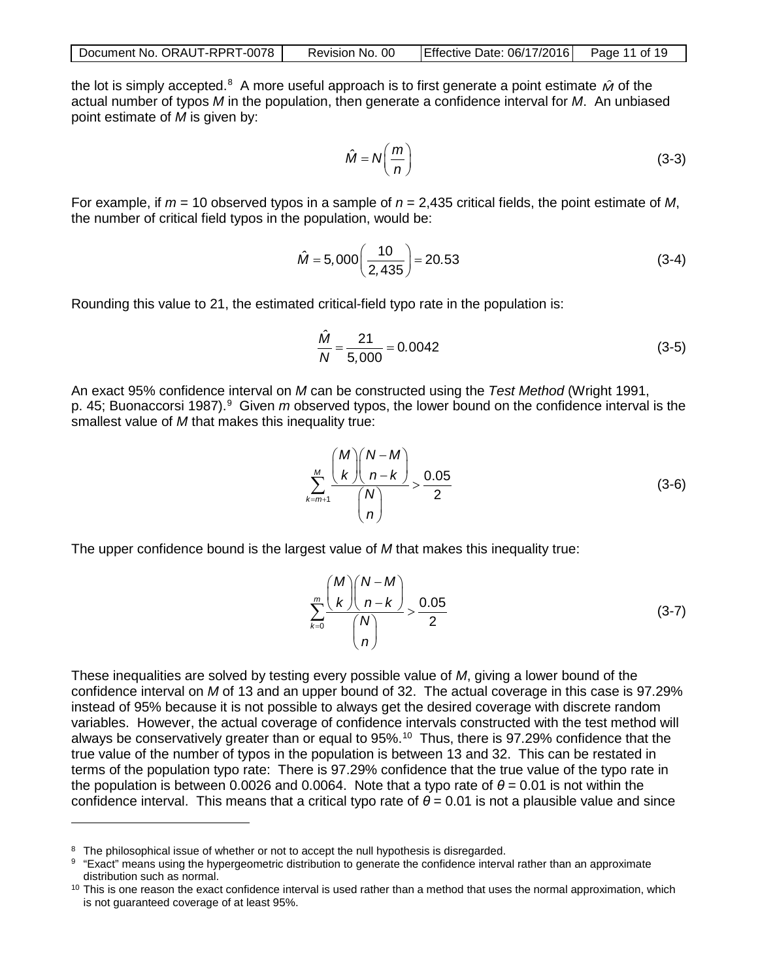| Document No. ORAUT-RPRT-0078 I | Revision No. 00 | $\left  \right $ Effective Date: 06/17/2016 $\left  \right $ Page 11 of 19 |  |
|--------------------------------|-----------------|----------------------------------------------------------------------------|--|
|--------------------------------|-----------------|----------------------------------------------------------------------------|--|

the lot is simply accepted.<sup>[8](#page-10-0)</sup> A more useful approach is to first generate a point estimate *M* of the actual number of typos *M* in the population, then generate a confidence interval for *M*. An unbiased point estimate of *M* is given by:

$$
\hat{M} = N \left( \frac{m}{n} \right) \tag{3-3}
$$

For example, if *m* = 10 observed typos in a sample of *n* = 2,435 critical fields, the point estimate of *M*, the number of critical field typos in the population, would be:

$$
\hat{M} = 5,000 \left( \frac{10}{2,435} \right) = 20.53 \tag{3-4}
$$

Rounding this value to 21, the estimated critical-field typo rate in the population is:

$$
\frac{\hat{M}}{N} = \frac{21}{5,000} = 0.0042\tag{3-5}
$$

An exact 95% confidence interval on *M* can be constructed using the *Test Method* (Wright 1991, p. 45; Buonaccorsi 1[9](#page-10-1)87).<sup>9</sup> Given *m* observed typos, the lower bound on the confidence interval is the smallest value of *M* that makes this inequality true:

$$
\sum_{k=m+1}^{M} \frac{\binom{M}{k} \binom{N-M}{n-k}}{\binom{N}{n}} > \frac{0.05}{2} \tag{3-6}
$$

The upper confidence bound is the largest value of *M* that makes this inequality true:

$$
\sum_{k=0}^{m} \frac{\binom{M}{k} \binom{N-M}{n-k}}{\binom{N}{n}} > \frac{0.05}{2}
$$
\n(3-7)

These inequalities are solved by testing every possible value of *M*, giving a lower bound of the confidence interval on *M* of 13 and an upper bound of 32. The actual coverage in this case is 97.29% instead of 95% because it is not possible to always get the desired coverage with discrete random variables. However, the actual coverage of confidence intervals constructed with the test method will always be conservatively greater than or equal to 95%. [10](#page-10-2) Thus, there is 97.29% confidence that the true value of the number of typos in the population is between 13 and 32. This can be restated in terms of the population typo rate: There is 97.29% confidence that the true value of the typo rate in the population is between 0.0026 and 0.0064. Note that a typo rate of  $\theta$  = 0.01 is not within the confidence interval. This means that a critical typo rate of  $θ = 0.01$  is not a plausible value and since

<span id="page-10-0"></span><sup>&</sup>lt;sup>8</sup> The philosophical issue of whether or not to accept the null hypothesis is disregarded.

<span id="page-10-1"></span><sup>&</sup>lt;sup>9</sup> "Exact" means using the hypergeometric distribution to generate the confidence interval rather than an approximate distribution such as normal.

<span id="page-10-2"></span> $10$  This is one reason the exact confidence interval is used rather than a method that uses the normal approximation, which is not guaranteed coverage of at least 95%.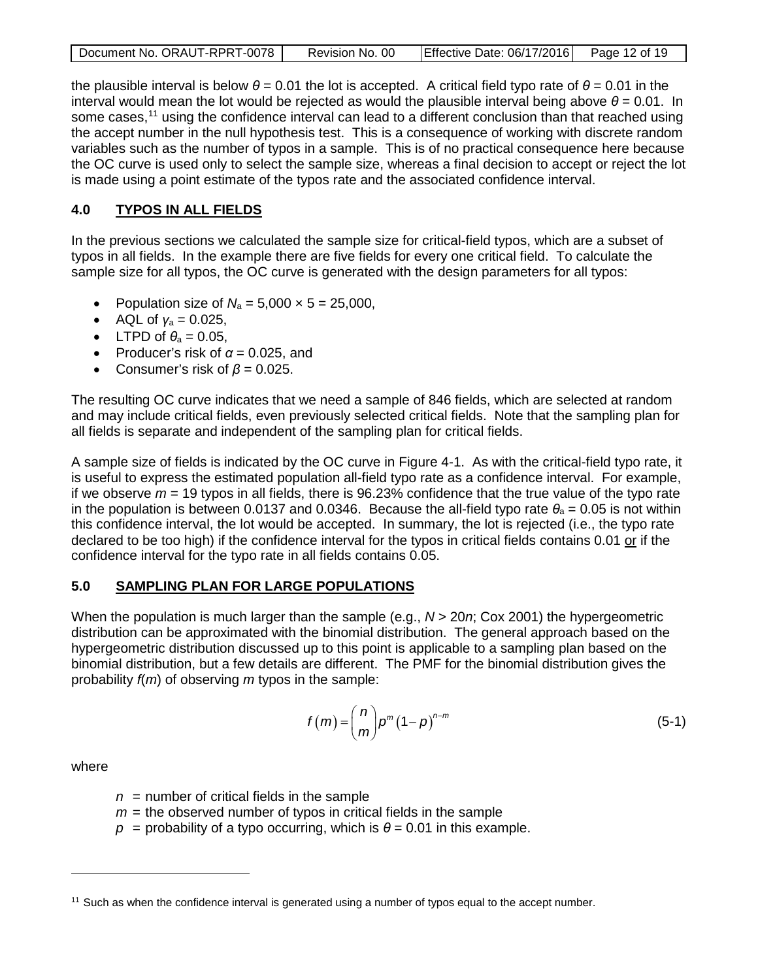| Document No. ORAUT-RPRT-0078 | Revision No. 00 | Effective Date: 06/17/2016 Page 12 of 19 |  |
|------------------------------|-----------------|------------------------------------------|--|
|                              |                 |                                          |  |

the plausible interval is below  $θ = 0.01$  the lot is accepted. A critical field typo rate of  $θ = 0.01$  in the interval would mean the lot would be rejected as would the plausible interval being above  $\theta$  = 0.01. In some cases,<sup>[11](#page-11-2)</sup> using the confidence interval can lead to a different conclusion than that reached using the accept number in the null hypothesis test. This is a consequence of working with discrete random variables such as the number of typos in a sample. This is of no practical consequence here because the OC curve is used only to select the sample size, whereas a final decision to accept or reject the lot is made using a point estimate of the typos rate and the associated confidence interval.

# <span id="page-11-0"></span>**4.0 TYPOS IN ALL FIELDS**

In the previous sections we calculated the sample size for critical-field typos, which are a subset of typos in all fields. In the example there are five fields for every one critical field. To calculate the sample size for all typos, the OC curve is generated with the design parameters for all typos:

- Population size of  $N_a = 5,000 \times 5 = 25,000$ ,
- AQL of  $y_a = 0.025$ ,
- LTPD of  $\theta_a = 0.05$ ,
- Producer's risk of  $\alpha$  = 0.025, and
- Consumer's risk of *β* = 0.025.

The resulting OC curve indicates that we need a sample of 846 fields, which are selected at random and may include critical fields, even previously selected critical fields. Note that the sampling plan for all fields is separate and independent of the sampling plan for critical fields.

A sample size of fields is indicated by the OC curve in Figure 4-1. As with the critical-field typo rate, it is useful to express the estimated population all-field typo rate as a confidence interval. For example, if we observe  $m = 19$  typos in all fields, there is  $96.23\%$  confidence that the true value of the typo rate in the population is between 0.0137 and 0.0346. Because the all-field typo rate  $\theta_a = 0.05$  is not within this confidence interval, the lot would be accepted. In summary, the lot is rejected (i.e., the typo rate declared to be too high) if the confidence interval for the typos in critical fields contains 0.01 or if the confidence interval for the typo rate in all fields contains 0.05.

# <span id="page-11-1"></span>**5.0 SAMPLING PLAN FOR LARGE POPULATIONS**

When the population is much larger than the sample (e.g., *N* > 20*n*; Cox 2001) the hypergeometric distribution can be approximated with the binomial distribution. The general approach based on the hypergeometric distribution discussed up to this point is applicable to a sampling plan based on the binomial distribution, but a few details are different. The PMF for the binomial distribution gives the probability *f*(*m*) of observing *m* typos in the sample:

$$
f(m) = {n \choose m} p^m (1-p)^{n-m}
$$
 (5-1)

where

- *n* = number of critical fields in the sample
- $m =$  the observed number of typos in critical fields in the sample
- $p =$  probability of a typo occurring, which is  $\theta = 0.01$  in this example.

<span id="page-11-2"></span><sup>&</sup>lt;sup>11</sup> Such as when the confidence interval is generated using a number of typos equal to the accept number.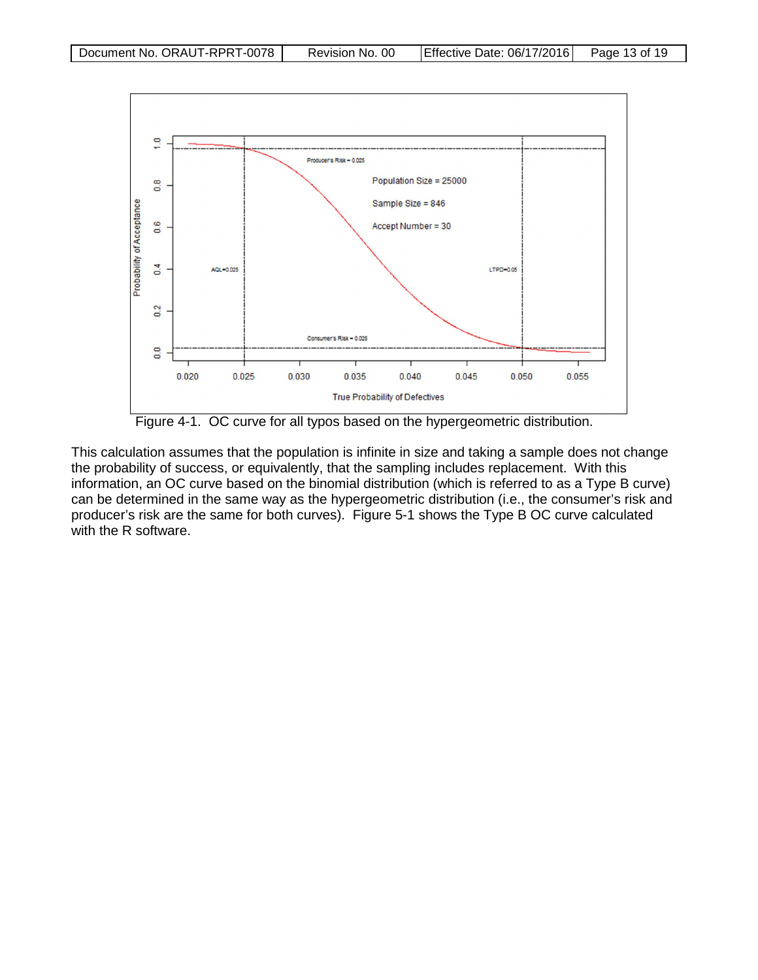

<span id="page-12-0"></span>Figure 4-1. OC curve for all typos based on the hypergeometric distribution.

This calculation assumes that the population is infinite in size and taking a sample does not change the probability of success, or equivalently, that the sampling includes replacement. With this information, an OC curve based on the binomial distribution (which is referred to as a Type B curve) can be determined in the same way as the hypergeometric distribution (i.e., the consumer's risk and producer's risk are the same for both curves). Figure 5-1 shows the Type B OC curve calculated with the R software.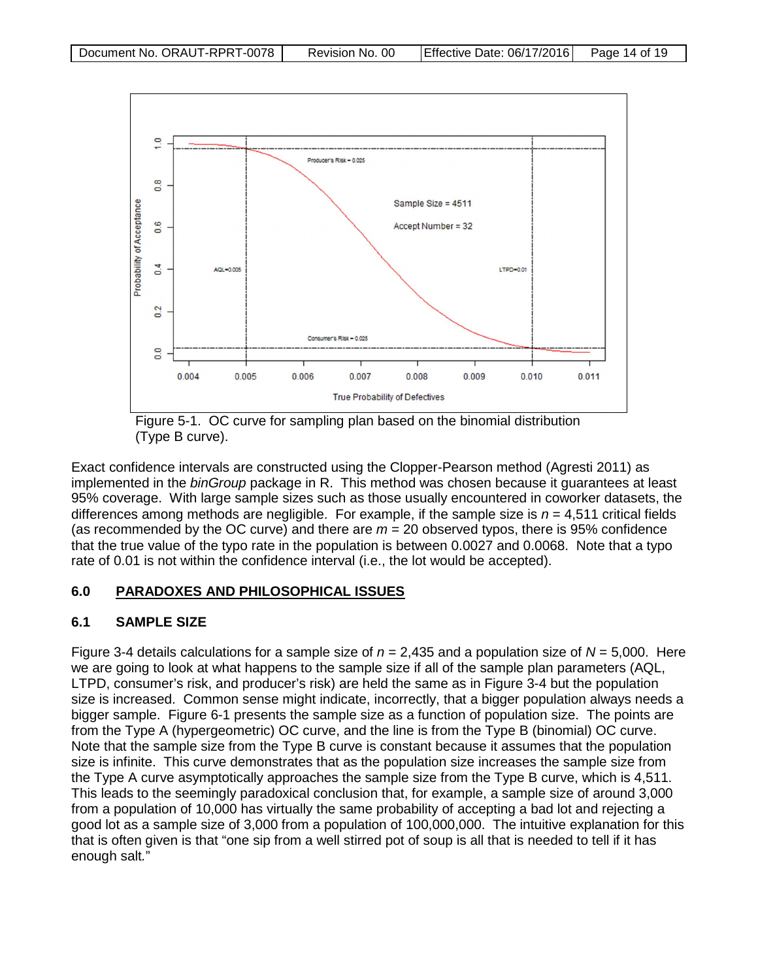

<span id="page-13-2"></span>Figure 5-1. OC curve for sampling plan based on the binomial distribution (Type B curve).

<span id="page-13-0"></span>Exact confidence intervals are constructed using the Clopper-Pearson method (Agresti 2011) as implemented in the *binGroup* package in R. This method was chosen because it guarantees at least 95% coverage. With large sample sizes such as those usually encountered in coworker datasets, the differences among methods are negligible. For example, if the sample size is *n* = 4,511 critical fields (as recommended by the OC curve) and there are *m* = 20 observed typos, there is 95% confidence that the true value of the typo rate in the population is between 0.0027 and 0.0068. Note that a typo rate of 0.01 is not within the confidence interval (i.e., the lot would be accepted).

# **6.0 PARADOXES AND PHILOSOPHICAL ISSUES**

# <span id="page-13-1"></span>**6.1 SAMPLE SIZE**

Figure 3-4 details calculations for a sample size of *n* = 2,435 and a population size of *N* = 5,000. Here we are going to look at what happens to the sample size if all of the sample plan parameters (AQL, LTPD, consumer's risk, and producer's risk) are held the same as in Figure 3-4 but the population size is increased. Common sense might indicate, incorrectly, that a bigger population always needs a bigger sample. Figure 6-1 presents the sample size as a function of population size. The points are from the Type A (hypergeometric) OC curve, and the line is from the Type B (binomial) OC curve. Note that the sample size from the Type B curve is constant because it assumes that the population size is infinite. This curve demonstrates that as the population size increases the sample size from the Type A curve asymptotically approaches the sample size from the Type B curve, which is 4,511. This leads to the seemingly paradoxical conclusion that, for example, a sample size of around 3,000 from a population of 10,000 has virtually the same probability of accepting a bad lot and rejecting a good lot as a sample size of 3,000 from a population of 100,000,000. The intuitive explanation for this that is often given is that "one sip from a well stirred pot of soup is all that is needed to tell if it has enough salt*.*"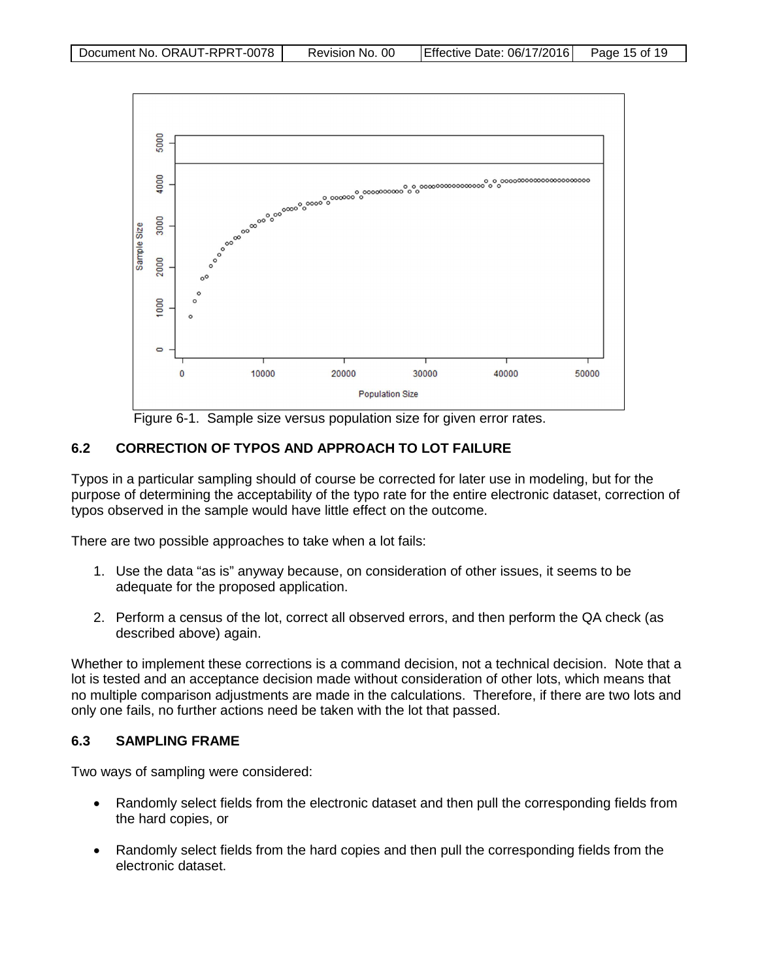

<span id="page-14-2"></span>Figure 6-1. Sample size versus population size for given error rates.

# <span id="page-14-0"></span>**6.2 CORRECTION OF TYPOS AND APPROACH TO LOT FAILURE**

Typos in a particular sampling should of course be corrected for later use in modeling, but for the purpose of determining the acceptability of the typo rate for the entire electronic dataset, correction of typos observed in the sample would have little effect on the outcome.

There are two possible approaches to take when a lot fails:

- 1. Use the data "as is" anyway because, on consideration of other issues, it seems to be adequate for the proposed application.
- 2. Perform a census of the lot, correct all observed errors, and then perform the QA check (as described above) again.

Whether to implement these corrections is a command decision, not a technical decision. Note that a lot is tested and an acceptance decision made without consideration of other lots, which means that no multiple comparison adjustments are made in the calculations. Therefore, if there are two lots and only one fails, no further actions need be taken with the lot that passed.

#### <span id="page-14-1"></span>**6.3 SAMPLING FRAME**

Two ways of sampling were considered:

- Randomly select fields from the electronic dataset and then pull the corresponding fields from the hard copies, or
- Randomly select fields from the hard copies and then pull the corresponding fields from the electronic dataset.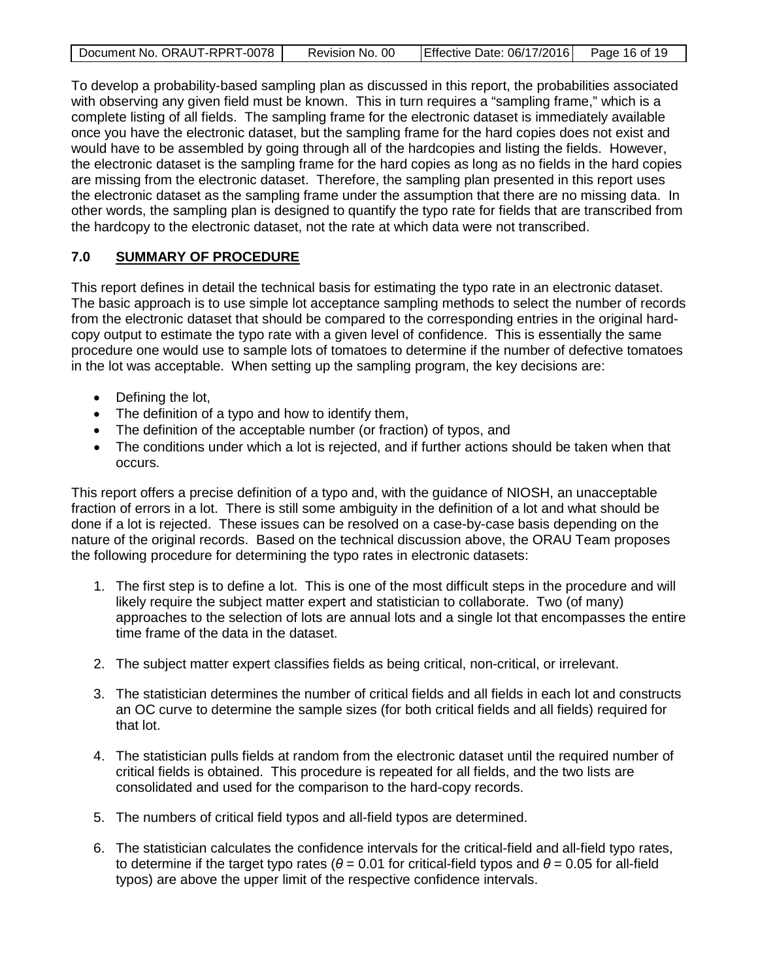| Document No. ORAUT-RPRT-0078 | Revision No. 00 | Effective Date: 06/17/2016 Page 16 of 19 |  |
|------------------------------|-----------------|------------------------------------------|--|
|                              |                 |                                          |  |

To develop a probability-based sampling plan as discussed in this report, the probabilities associated with observing any given field must be known. This in turn requires a "sampling frame," which is a complete listing of all fields. The sampling frame for the electronic dataset is immediately available once you have the electronic dataset, but the sampling frame for the hard copies does not exist and would have to be assembled by going through all of the hardcopies and listing the fields. However, the electronic dataset is the sampling frame for the hard copies as long as no fields in the hard copies are missing from the electronic dataset. Therefore, the sampling plan presented in this report uses the electronic dataset as the sampling frame under the assumption that there are no missing data. In other words, the sampling plan is designed to quantify the typo rate for fields that are transcribed from the hardcopy to the electronic dataset, not the rate at which data were not transcribed.

# <span id="page-15-0"></span>**7.0 SUMMARY OF PROCEDURE**

This report defines in detail the technical basis for estimating the typo rate in an electronic dataset. The basic approach is to use simple lot acceptance sampling methods to select the number of records from the electronic dataset that should be compared to the corresponding entries in the original hardcopy output to estimate the typo rate with a given level of confidence. This is essentially the same procedure one would use to sample lots of tomatoes to determine if the number of defective tomatoes in the lot was acceptable. When setting up the sampling program, the key decisions are:

- Defining the lot,
- The definition of a typo and how to identify them,
- The definition of the acceptable number (or fraction) of typos, and
- The conditions under which a lot is rejected, and if further actions should be taken when that occurs.

This report offers a precise definition of a typo and, with the guidance of NIOSH, an unacceptable fraction of errors in a lot. There is still some ambiguity in the definition of a lot and what should be done if a lot is rejected. These issues can be resolved on a case-by-case basis depending on the nature of the original records. Based on the technical discussion above, the ORAU Team proposes the following procedure for determining the typo rates in electronic datasets:

- 1. The first step is to define a lot. This is one of the most difficult steps in the procedure and will likely require the subject matter expert and statistician to collaborate. Two (of many) approaches to the selection of lots are annual lots and a single lot that encompasses the entire time frame of the data in the dataset.
- 2. The subject matter expert classifies fields as being critical, non-critical, or irrelevant.
- 3. The statistician determines the number of critical fields and all fields in each lot and constructs an OC curve to determine the sample sizes (for both critical fields and all fields) required for that lot.
- 4. The statistician pulls fields at random from the electronic dataset until the required number of critical fields is obtained. This procedure is repeated for all fields, and the two lists are consolidated and used for the comparison to the hard-copy records.
- 5. The numbers of critical field typos and all-field typos are determined.
- 6. The statistician calculates the confidence intervals for the critical-field and all-field typo rates, to determine if the target typo rates ( $θ = 0.01$  for critical-field typos and  $θ = 0.05$  for all-field typos) are above the upper limit of the respective confidence intervals.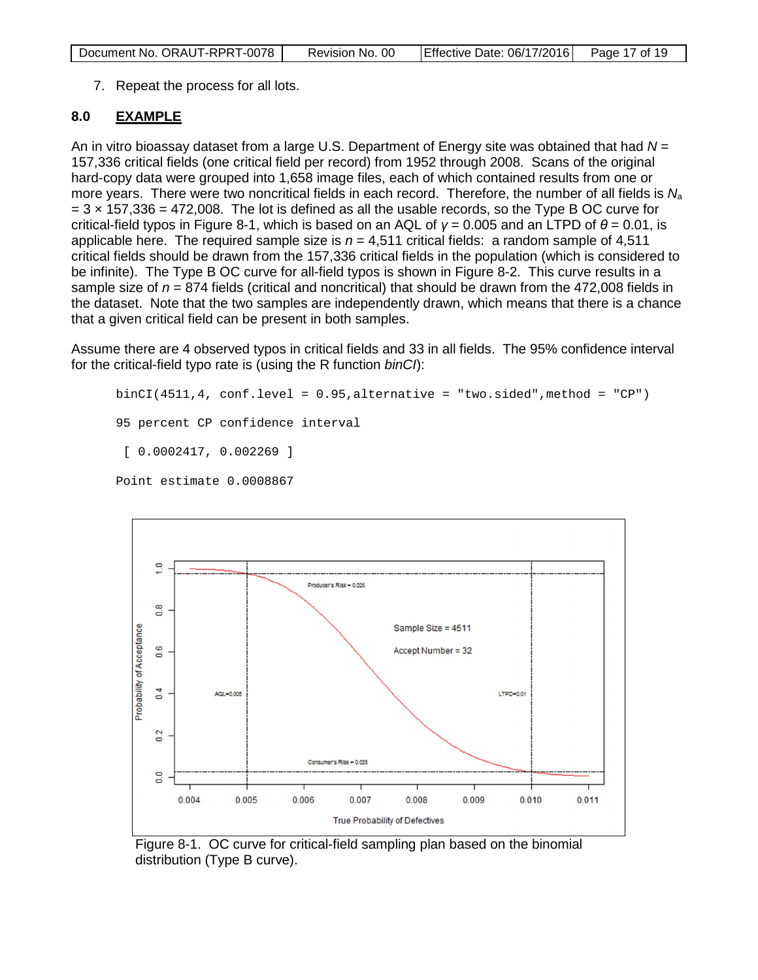| Document No. ORAUT-RPRT-0078 | Revision No. 00 | Effective Date: 06/17/2016 Page 17 of 19 |  |
|------------------------------|-----------------|------------------------------------------|--|
|------------------------------|-----------------|------------------------------------------|--|

7. Repeat the process for all lots.

# <span id="page-16-0"></span>**8.0 EXAMPLE**

An in vitro bioassay dataset from a large U.S. Department of Energy site was obtained that had *N* = 157,336 critical fields (one critical field per record) from 1952 through 2008. Scans of the original hard-copy data were grouped into 1,658 image files, each of which contained results from one or more years. There were two noncritical fields in each record. Therefore, the number of all fields is *N*<sup>a</sup>  $= 3 \times 157,336 = 472,008$ . The lot is defined as all the usable records, so the Type B OC curve for critical-field typos in Figure 8-1, which is based on an AQL of *γ* = 0.005 and an LTPD of *θ* = 0.01, is applicable here. The required sample size is  $n = 4,511$  critical fields: a random sample of 4,511 critical fields should be drawn from the 157,336 critical fields in the population (which is considered to be infinite). The Type B OC curve for all-field typos is shown in Figure 8-2. This curve results in a sample size of  $n = 874$  fields (critical and noncritical) that should be drawn from the 472,008 fields in the dataset. Note that the two samples are independently drawn, which means that there is a chance that a given critical field can be present in both samples.

Assume there are 4 observed typos in critical fields and 33 in all fields. The 95% confidence interval for the critical-field typo rate is (using the R function *binCI*):

```
binCI(4511, 4, conf.level = 0.95, alternative = "two.sided", method = "CP")95 percent CP confidence interval
 [ 0.0002417, 0.002269 ]
Point estimate 0.0008867
```


<span id="page-16-1"></span>Figure 8-1. OC curve for critical-field sampling plan based on the binomial distribution (Type B curve).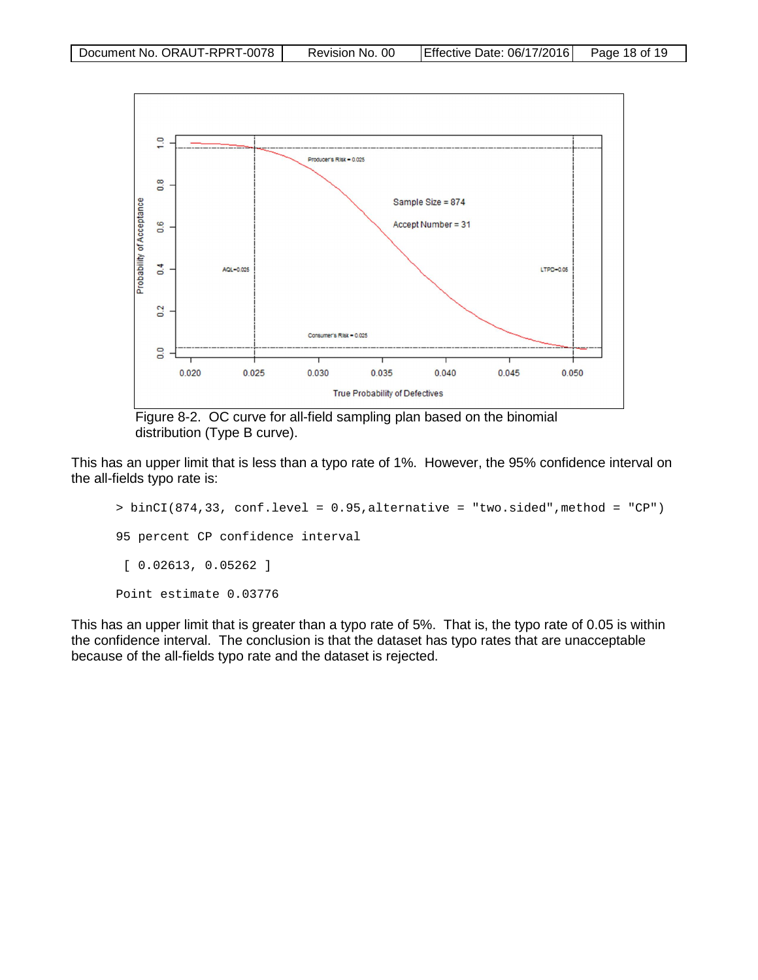

<span id="page-17-0"></span>Figure 8-2. OC curve for all-field sampling plan based on the binomial distribution (Type B curve).

This has an upper limit that is less than a typo rate of 1%. However, the 95% confidence interval on the all-fields typo rate is:

```
> binCI(874,33, conf.level = 0.95,alternative = "two.sided", method = "CP")
95 percent CP confidence interval
 [ 0.02613, 0.05262 ]
Point estimate 0.03776
```
This has an upper limit that is greater than a typo rate of 5%. That is, the typo rate of 0.05 is within the confidence interval. The conclusion is that the dataset has typo rates that are unacceptable because of the all-fields typo rate and the dataset is rejected.